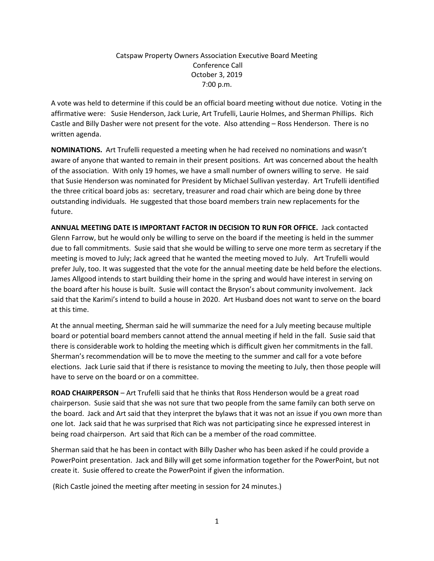## Catspaw Property Owners Association Executive Board Meeting Conference Call October 3, 2019 7:00 p.m.

A vote was held to determine if this could be an official board meeting without due notice. Voting in the affirmative were: Susie Henderson, Jack Lurie, Art Trufelli, Laurie Holmes, and Sherman Phillips. Rich Castle and Billy Dasher were not present for the vote. Also attending – Ross Henderson. There is no written agenda.

**NOMINATIONS.** Art Trufelli requested a meeting when he had received no nominations and wasn't aware of anyone that wanted to remain in their present positions. Art was concerned about the health of the association. With only 19 homes, we have a small number of owners willing to serve. He said that Susie Henderson was nominated for President by Michael Sullivan yesterday. Art Trufelli identified the three critical board jobs as: secretary, treasurer and road chair which are being done by three outstanding individuals. He suggested that those board members train new replacements for the future.

**ANNUAL MEETING DATE IS IMPORTANT FACTOR IN DECISION TO RUN FOR OFFICE.** Jack contacted Glenn Farrow, but he would only be willing to serve on the board if the meeting is held in the summer due to fall commitments. Susie said that she would be willing to serve one more term as secretary if the meeting is moved to July; Jack agreed that he wanted the meeting moved to July. Art Trufelli would prefer July, too. It was suggested that the vote for the annual meeting date be held before the elections. James Allgood intends to start building their home in the spring and would have interest in serving on the board after his house is built. Susie will contact the Bryson's about community involvement. Jack said that the Karimi's intend to build a house in 2020. Art Husband does not want to serve on the board at this time.

At the annual meeting, Sherman said he will summarize the need for a July meeting because multiple board or potential board members cannot attend the annual meeting if held in the fall. Susie said that there is considerable work to holding the meeting which is difficult given her commitments in the fall. Sherman's recommendation will be to move the meeting to the summer and call for a vote before elections. Jack Lurie said that if there is resistance to moving the meeting to July, then those people will have to serve on the board or on a committee.

**ROAD CHAIRPERSON** – Art Trufelli said that he thinks that Ross Henderson would be a great road chairperson. Susie said that she was not sure that two people from the same family can both serve on the board. Jack and Art said that they interpret the bylaws that it was not an issue if you own more than one lot. Jack said that he was surprised that Rich was not participating since he expressed interest in being road chairperson. Art said that Rich can be a member of the road committee.

Sherman said that he has been in contact with Billy Dasher who has been asked if he could provide a PowerPoint presentation. Jack and Billy will get some information together for the PowerPoint, but not create it. Susie offered to create the PowerPoint if given the information.

(Rich Castle joined the meeting after meeting in session for 24 minutes.)